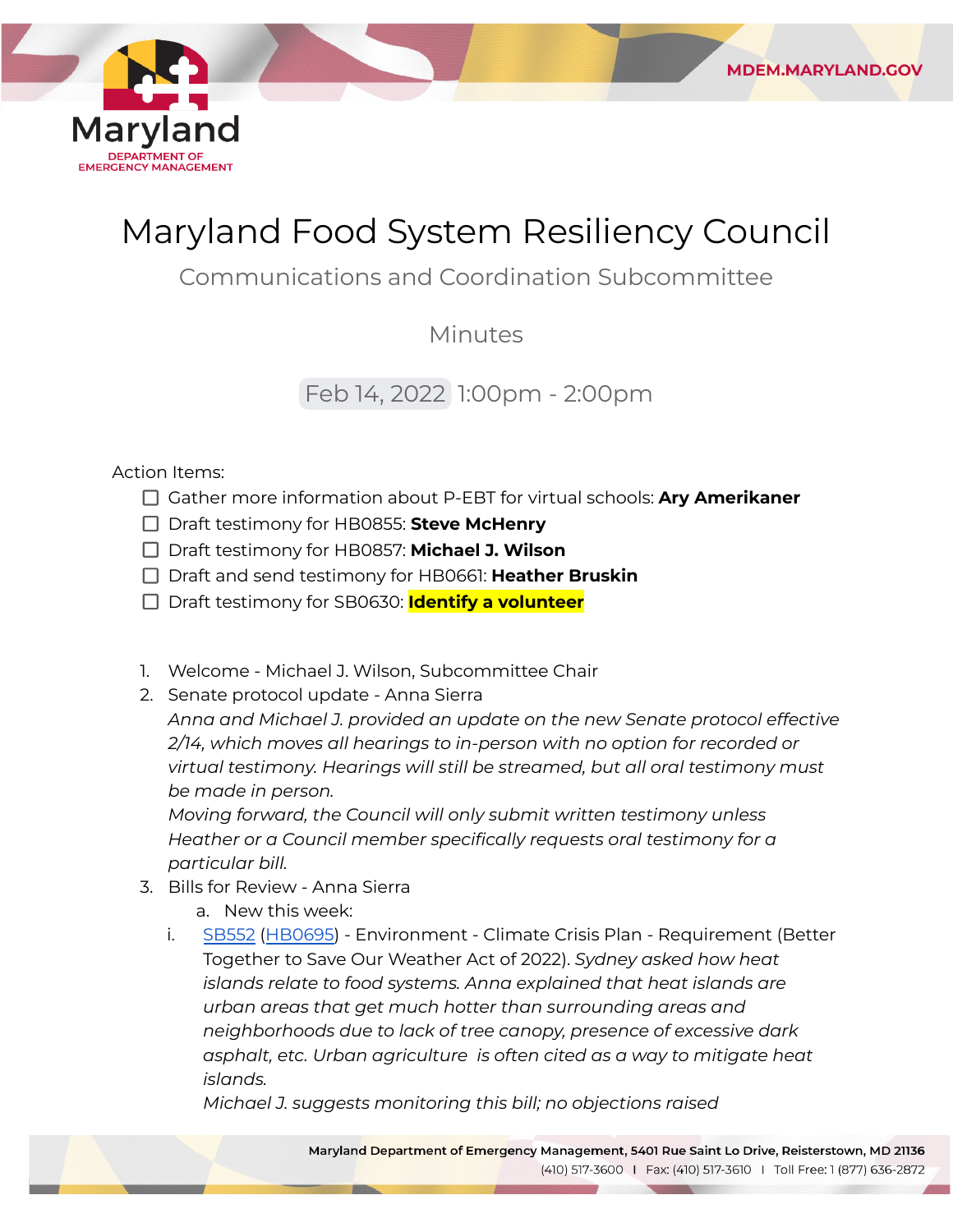

## Maryland Food System Resiliency Council

**MDEM.MARYLAND.GOV** 

Communications and Coordination Subcommittee

Minutes

Feb 14, 2022 1:00pm - 2:00pm

## Action Items:

- Gather more information about P-EBT for virtual schools: **Ary Amerikaner**
- Draft testimony for HB0855: **Steve McHenry**
- Draft testimony for HB0857: **Michael J. Wilson**
- Draft and send testimony for HB0661: **Heather Bruskin**
- Draft testimony for SB0630: **Identify a volunteer**
- 1. Welcome Michael J. Wilson, Subcommittee Chair
- 2. Senate protocol update Anna Sierra

 *Anna and Michael J. provided an update on the new Senate protocol effective 2/14, which moves all hearings to in-person with no option for recorded or virtual testimony. Hearings will still be streamed, but all oral testimony must be made in person.*

 *Moving forward, the Council will only submit written testimony unless Heather or a Council member specifically requests oral testimony for a particular bill.*

- 3. Bills for Review Anna Sierra
	- a. New this week:
	- i. [SB552](https://mgaleg.maryland.gov/mgawebsite/Legislation/Details/sb0552?ys=2022RS) ([HB0695\)](https://mgaleg.maryland.gov/mgawebsite/Legislation/Details/HB0695?ys=2022RS) Environment Climate Crisis Plan Requirement (Better Together to Save Our Weather Act of 2022). *Sydney asked how heat islands relate to food systems. Anna explained that heat islands are urban areas that get much hotter than surrounding areas and neighborhoods due to lack of tree canopy, presence of excessive dark asphalt, etc. Urban agriculture is often cited as a way to mitigate heat islands.*

 *Michael J. suggests monitoring this bill; no objections raised*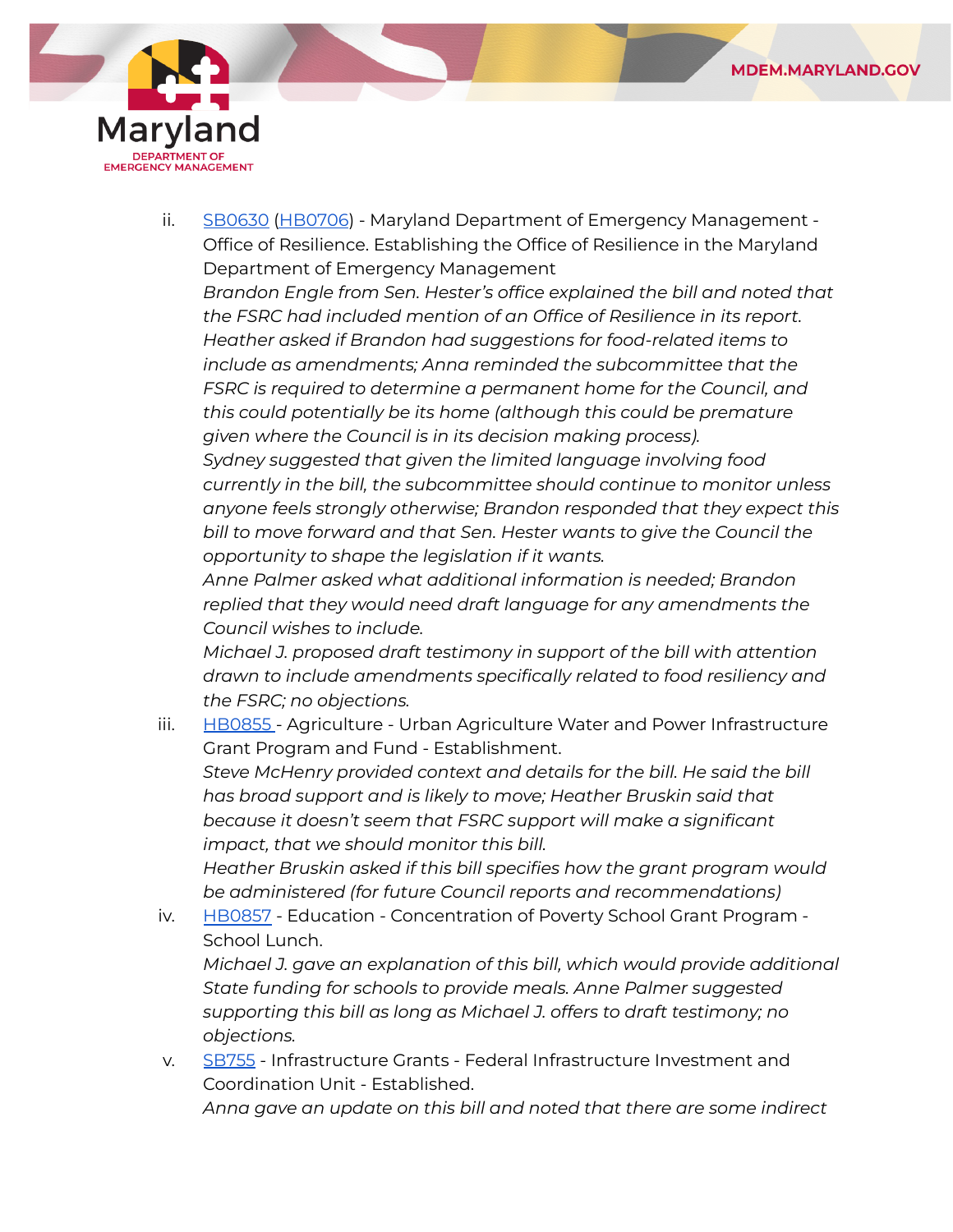

ii. <u>[SB0630](https://mgaleg.maryland.gov/mgawebsite/Legislation/Details/SB0630?ys=2022RS) [\(HB0706](https://mgaleg.maryland.gov/mgawebsite/Legislation/Details/HB0706?ys=2022RS)</u>) - Maryland Department of Emergency Management - Office of Resilience. Establishing the Office of Resilience in the Maryland Department of Emergency Management

 *Brandon Engle from Sen. Hester's office explained the bill and noted that the FSRC had included mention of an Office of Resilience in its report. Heather asked if Brandon had suggestions for food-related items to include as amendments; Anna reminded the subcommittee that the FSRC is required to determine a permanent home for the Council, and this could potentially be its home (although this could be premature given where the Council is in its decision making process).*

 *Sydney suggested that given the limited language involving food currently in the bill, the subcommittee should continue to monitor unless anyone feels strongly otherwise; Brandon responded that they expect this bill to move forward and that Sen. Hester wants to give the Council the opportunity to shape the legislation if it wants.*

 *Anne Palmer asked what additional information is needed; Brandon replied that they would need draft language for any amendments the Council wishes to include.*

 *Michael J. proposed draft testimony in support of the bill with attention drawn to include amendments specifically related to food resiliency and the FSRC; no objections.*

iii. [HB0855](https://mgaleg.maryland.gov/mgawebsite/Legislation/Details/hb0855) - Agriculture - Urban Agriculture Water and Power Infrastructure Grant Program and Fund - Establishment.

 *Steve McHenry provided context and details for the bill. He said the bill has broad support and is likely to move; Heather Bruskin said that because it doesn't seem that FSRC support will make a significant impact, that we should monitor this bill.*

 *Heather Bruskin asked if this bill specifies how the grant program would be administered (for future Council reports and recommendations)*

iv. [HB0857](https://mgaleg.maryland.gov/mgawebsite/Legislation/Details/hb0857#) - Education - Concentration of Poverty School Grant Program -School Lunch.

 *Michael J. gave an explanation of this bill, which would provide additional State funding for schools to provide meals. Anne Palmer suggested supporting this bill as long as Michael J. offers to draft testimony; no objections.*

v. [SB755](https://mgaleg.maryland.gov/mgawebsite/Legislation/Details/sb0755?ys=2022RS) - Infrastructure Grants - Federal Infrastructure Investment and Coordination Unit - Established.  *Anna gave an update on this bill and noted that there are some indirect*